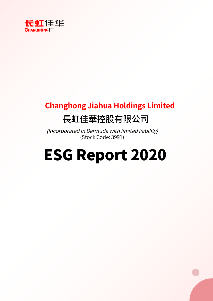

# **Changhong Jiahua Holdings Limited** 長虹佳華控股有限公司

(Incorporated in Bermuda with limited liability) (Stock Code: 3991)

# ESG Report 2020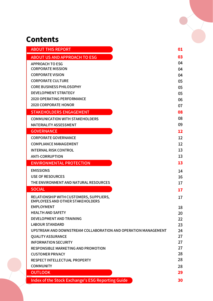# **Contents**

| <b>ABOUT THIS REPORT</b>                                       | 01                      |
|----------------------------------------------------------------|-------------------------|
| <b>ABOUT US AND APPROACH TO ESG</b>                            | 03                      |
| <b>APPROACH TO ESG</b>                                         | 04                      |
| <b>CORPORATE MISSION</b>                                       | 04                      |
| <b>CORPORATE VISION</b>                                        | 04                      |
| <b>CORPORATE CULTURE</b>                                       | 05                      |
| <b>CORE BUSINESS PHILOSOPHY</b>                                | 05                      |
| <b>DEVELOPMENT STRATEGY</b>                                    | 05                      |
| <b>2020 OPERATING PERFORMANCE</b>                              | 06                      |
| <b>2020 CORPORATE HONOR</b>                                    | 07                      |
| <b>STAKEHOLDERS ENGAGEMENT</b>                                 | 08                      |
| <b>COMMUNICATION WITH STAKEHOLDERS</b>                         | 08                      |
| <b>MATERIALITY ASSESSMENT</b>                                  | 09                      |
| <b>GOVERNANCE</b>                                              | 12                      |
| <b>CORPORATE GOVERNANCE</b>                                    | 12                      |
| <b>COMPLIANCE MANAGEMENT</b>                                   | 12                      |
| <b>INTERNAL RISK CONTROL</b>                                   | 13                      |
| <b>ANTI-CORRUPTION</b>                                         | 13                      |
| <b>ENVIRONMENTAL PROTECTION</b>                                | 13                      |
| <b>EMISSIONS</b>                                               | 14                      |
| <b>USE OF RESOURCES</b>                                        | 16                      |
| THE ENVIRONMENT AND NATURAL RESOURCES                          | 17                      |
| <b>SOCIAL</b>                                                  | 17                      |
| RELATIONSHIP WITH CUSTOMERS, SUPPLIERS,                        | 17                      |
| <b>EMPLOYEES AND OTHER STAKEHOLDERS</b>                        |                         |
| <b>EMPLOYMENT</b>                                              | 18                      |
| <b>HEALTH AND SAFETY</b><br><b>DEVELOPMENT AND TRAINING</b>    | 20                      |
| <b>LABOUR STANDARD</b>                                         | $22 \overline{)}$<br>23 |
| UPSTREAM AND DOWNSTREAM COLLABORATION AND OPERATION MANAGEMENT | 24                      |
| <b>QUALITY ASSURANCE</b>                                       | 27                      |
| <b>INFORMATION SECURITY</b>                                    | 27                      |
| <b>RESPONSIBLE MARKETING AND PROMOTION</b>                     | 27                      |
| <b>CUSTOMER PRIVACY</b>                                        | 28                      |
| <b>RESPECT INTELLECTUAL PROPERTY</b>                           | 28                      |
| <b>COMMUNITY</b>                                               | 28                      |
| <b>OUTLOOK</b>                                                 | 29                      |
| Index of the Stock Exchange's ESG Reporting Guide              | 30                      |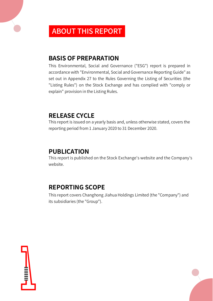# ABOUT THIS REPORT

# **BASIS OF PREPARATION**

This Environmental, Social and Governance ("ESG") report is prepared in accordance with "Environmental, Social and Governance Reporting Guide" as set out in Appendix 27 to the Rules Governing the Listing of Securities (the "Listing Rules") on the Stock Exchange and has complied with "comply or explain" provision in the Listing Rules.

# **RELEASE CYCLE**

This report is issued on a yearly basis and, unless otherwise stated, covers the reporting period from 1 January 2020 to 31 December 2020.

### **PUBLICATION**

This report is published on the Stock Exchange's website and the Company's website.

# **REPORTING SCOPE**

This report covers Changhong Jiahua Holdings Limited (the "Company") and its subsidiaries (the "Group").

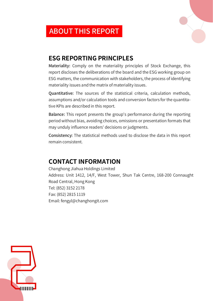# ABOUT THIS REPORT



# **ESG REPORTING PRINCIPLES**

Materiality: Comply on the materiality principles of Stock Exchange, this report discloses the deliberations of the board and the ESG working group on ESG matters, the communication with stakeholders, the process of identifying materiality issues and the matrix of materiality issues.

Quantitative: The sources of the statistical criteria, calculation methods, assumptions and/or calculation tools and conversion factors for the quantitative KPIs are described in this report.

Balance: This report presents the group's performance during the reporting period without bias, avoiding choices, omissions or presentation formats that may unduly influence readers' decisions or judgments.

Consistency: The statistical methods used to disclose the data in this report remain consistent.

# **CONTACT INFORMATION**

Changhong Jiahua Holdings Limited Address: Unit 1412, 14/F, West Tower, Shun Tak Centre, 168-200 Connaught Road Central, Hong Kong Tel: (852) 3152 2178 Fax: (852) 2815 1119 Email: fengyl@changhongit.com

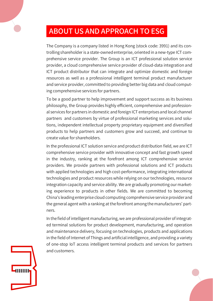# ABOUT US AND APPROACH TO ESG

The Company is a company listed in Hong Kong (stock code: 3991) and its controlling shareholder is a state-owned enterprise, oriented in a new-type ICT comprehensive service provider. The Group is an ICT professional solution service provider, a cloud comprehensive service provider of cloud-data integration and ICT product distributor that can integrate and optimize domestic and foreign resources as well as a professional intelligent terminal product manufacturer and service provider, committed to providing better big data and cloud computing comprehensive services for partners.

To be a good partner to help improvement and support success as its business philosophy, the Group provides highly efficient, comprehensive and professional services for partners in domestic and foreign ICT enterprises and local channel partners and customers by virtue of professional marketing services and solutions, independent intellectual property proprietary equipment and diversified products to help partners and customers grow and succeed, and continue to create value for shareholders.

In the professional ICT solution service and product distribution field, we are ICT comprehensive service provider with innovative concept and fast growth speed in the industry, ranking at the forefront among ICT comprehensive service providers. We provide partners with professional solutions and ICT products with applied technologies and high cost-performance, integrating international technologies and product resources while relying on our technologies, resource integration capacity and service ability. We are gradually promoting our marketing experience to products in other fields. We are committed to becoming China's leading enterprise cloud computing comprehensive service provider and the general agent with a ranking at the forefront among the manufacturers' partners.

In the field of intelligent manufacturing, we are professional provider of integrated terminal solutions for product development, manufacturing, and operation and maintenance delivery, focusing on technologies, products and applications in the field of Internet of Things and artificial intelligence, and providing a variety of one-stop IoT access intelligent terminal products and services for partners and customers.

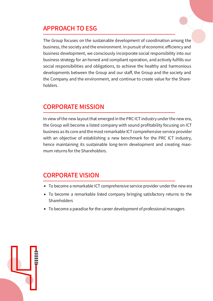# APPROACH TO ESG

The Group focuses on the sustainable development of coordination among the business, the society and the environment. In pursuit of economic efficiency and business development, we consciously incorporate social responsibility into our business strategy for an honest and compliant operation, and actively fulfills our social responsibilities and obligations, to achieve the healthy and harmonious developments between the Group and our staff, the Group and the society and the Company and the environment, and continue to create value for the Shareholders.

#### CORPORATE MISSION

In view of the new layout that emerged in the PRC ICT industry under the new era, the Group will become a listed company with sound profitability focusing on ICT business as its core and the most remarkable ICT comprehensive service provider with an objective of establishing a new benchmark for the PRC ICT industry, hence maintaining its sustainable long-term development and creating maximum returns for the Shareholders.

### CORPORATE VISION

- To become a remarkable ICT comprehensive service provider under the new era
- To become a remarkable listed company bringing satisfactory returns to the **Shareholders**
- To become a paradise for the career development of professional managers

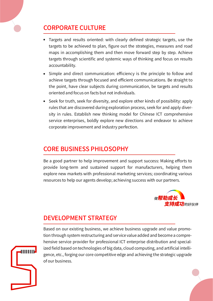# CORPORATE CULTURE

- Targets and results oriented: with clearly defined strategic targets, use the targets to be achieved to plan, figure out the strategies, measures and road maps in accomplishing them and then move forward step by step. Achieve targets through scientific and systemic ways of thinking and focus on results accountability.
- Simple and direct communication: efficiency is the principle to follow and achieve targets through focused and efficient communications. Be straight to the point, have clear subjects during communication, be targets and results oriented and focus on facts but not individuals.
- Seek for truth, seek for diversity, and explore other kinds of possibility: apply rules that are discovered during exploration process, seek for and apply diversity in rules. Establish new thinking model for Chinese ICT comprehensive service enterprises, boldly explore new directions and endeavor to achieve corporate improvement and industry perfection.

# CORE BUSINESS PHILOSOPHY

Be a good partner to help improvement and support success: Making efforts to provide long-term and sustained support for manufacturers, helping them explore new markets with professional marketing services; coordinating various resources to help our agents develop; achieving success with our partners.



# DEVELOPMENT STRATEGY

Based on our existing business, we achieve business upgrade and value promotion through system restructuring and service value added and become a comprehensive service provider for professional ICT enterprise distribution and specialized field based on technologies of big data, cloud computing, and artificial intelligence, etc., forging our core competitive edge and achieving the strategic upgrade of our business.

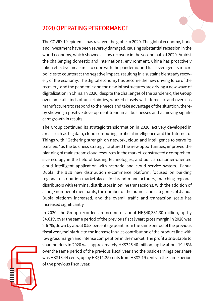## 2020 OPERATING PERFORMANCE

The COVID-19 epidemic has ravaged the globe in 2020. The global economy, trade and investment have been severely damaged, causing substantial recession in the world economy, which showed a slow recovery in the second half of 2020. Amidst the challenging domestic and international environment, China has proactively taken effective measures to cope with the pandemic and has leveraged its macro policies to counteract the negative impact, resulting in a sustainable steady recovery of the economy. The digital economy has become the new driving force of the recovery, and the pandemic and the new infrastructures are driving a new wave of digitalization in China. In 2020, despite the challenges of the pandemic, the Group overcame all kinds of uncertainties, worked closely with domestic and overseas manufacturers to respond to the needs and take advantage of the situation, thereby showing a positive development trend in all businesses and achieving significant growth in results.

The Group continued its strategic transformation in 2020, actively developed in areas such as big data, cloud computing, artificial intelligence and the Internet of Things with "Gathering strength on network, cloud and intelligence to serve its partners" as the business strategy, captured the new opportunities, improved the planning of mainstream cloud resources in the market, constructed a comprehensive ecology in the field of leading technologies, and built a customer-oriented cloud intelligent application with scenario and cloud service system. Jiahua Duola, the B2B new distribution e-commerce platform, focused on building regional distribution marketplaces for brand manufacturers, matching regional distributors with terminal distributors in online transactions. With the addition of a large number of merchants, the number of the brands and categories of Jiahua Duola platform increased, and the overall traffic and transaction scale has increased significantly.

In 2020, the Group recorded an income of about HK\$40,381.30 million, up by 34.61% over the same period of the previous fiscal year; gross margin in 2020 was 2.67%, down by about 0.53 percentage point from the same period of the previous fiscal year, mainly due to the increase in sales contribution of the product line with low gross margin and intense competition in the market. The profit attributable to shareholders in 2020 was approximately HK\$345.40 million, up by about 19.45% over the same period of the previous fiscal year and the basic earnings per share was HK\$13.44 cents, up by HK\$11.25 cents from HK\$2.19 cents in the same period of the previous fiscal year.

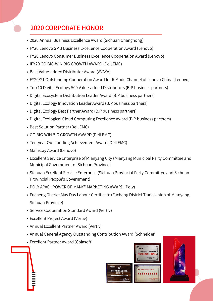# 2020 CORPORATE HONOR

- 2020 Annual Business Excellence Award (Sichuan Changhong)
- FY20 Lenovo SMB Business Excellence Cooperation Award (Lenovo)
- FY20 Lenovo Consumer Business Excellence Cooperation Award (Lenovo)
- IFY20 GO BIG-WIN BIG GROWTH AWARD (Dell EMC)
- Best Value-added Distributor Award (AVAYA)
- FY20/21 Outstanding Cooperation Award for R Mode Channel of Lenovo China (Lenovo)
- Top 10 Digital Ecology 500 Value-added Distributors (B.P business partners)
- Digital Ecosystem Distribution Leader Award (B.P business partners)
- Digital Ecology Innovation Leader Award (B.P business partners)
- Digital Ecology Best Partner Award (B.P business partners)
- Digital Ecological Cloud Computing Excellence Award (B.P business partners)
- Best Solution Partner (Dell EMC)
- GO BIG-WIN BIG GROWTH AWARD (Dell EMC)
- Ten-year Outstanding Achievement Award (Dell EMC)
- Mainstay Award (Lenovo)
- Excellent Service Enterprise of Mianyang City (Mianyang Municipal Party Committee and Municipal Government of Sichuan Province)
- Sichuan Excellent Service Enterprise (Sichuan Provincial Party Committee and Sichuan Provincial People's Government)
- POLY APAC "POWER OF MANY" MARKETING AWARD (Poly)
- Fucheng District May Day Labour Certificate (Fucheng District Trade Union of Mianyang, Sichuan Province)
- Service Cooperation Standard Award (Vertiv)
- Excellent Project Award (Vertiv)
- Annual Excellent Partner Award (Vertiv)
- Annual General Agency Outstanding Contribution Award (Schneider)
- Excellent Partner Award (Colasoft)



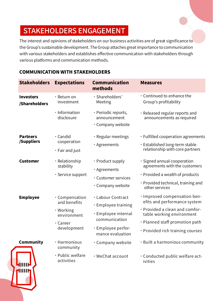# STAKEHOLDERS ENGAGEMENT

The interest and opinions of stakeholders on our business activities are of great significance to the Group's sustainable development. The Group attaches great importance to communication with various stakeholders and establishes effective communication with stakeholders through various platforms and communication methods.

#### COMMUNICATION WITH STAKEHOLDERS

| <b>Stakeholders</b>               | <b>Expectations</b>                                                                   | <b>Communication</b><br>methods                                                                                                  | <b>Measures</b>                                                                                                                                                                                   |
|-----------------------------------|---------------------------------------------------------------------------------------|----------------------------------------------------------------------------------------------------------------------------------|---------------------------------------------------------------------------------------------------------------------------------------------------------------------------------------------------|
| <b>Investors</b><br>/Shareholders | $\cdot$ Return on<br>investment                                                       | · Shareholders'<br>Meeting                                                                                                       | Continued to enhance the<br>Group's profitability                                                                                                                                                 |
|                                   | · Information<br>disclosure                                                           | · Periodic reports,<br>announcement<br>$\cdot$ Company website                                                                   | · Released regular reports and<br>announcements as required                                                                                                                                       |
| <b>Partners</b><br>/Suppliers     | $\cdot$ Candid<br>cooperation<br>$\cdot$ Fair and just                                | · Regular meetings<br>· Agreements                                                                                               | $\cdot$ Fulfilled cooperation agreements<br>· Established long-term stable<br>relationship with core partners                                                                                     |
| <b>Customer</b>                   | · Relationship<br>stability<br>$\cdot$ Service support                                | • Product supply<br>· Agreements<br>· Customer services<br>$\cdot$ Company website                                               | · Signed annual cooperation<br>agreements with the customers<br>· Provided a wealth of products<br>$\cdot$ Provided technical, training and<br>other services                                     |
| <b>Employee</b>                   | · Compensation<br>and benefits<br>• Working<br>environment<br>· Career<br>development | · Labour Contract<br>$\cdot$ Employee training<br>· Employee internal<br>communication<br>· Employee perfor-<br>mance evaluation | · Improved compensation ben-<br>efits and performance system<br>· Provided a clean and comfor-<br>table working environment<br>· Planned staff promotion path<br>· Provided rich training courses |
| <b>Community</b>                  | · Harmonious<br>community<br>· Public welfare<br>activities                           | • Company website<br>· WeChat account                                                                                            | · Built a harmonious community<br>Conducted public welfare act-<br>ivities                                                                                                                        |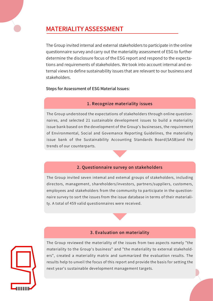# MATERIALITY ASSESSMENT

The Group invited internal and external stakeholders to participate in the online questionnaire survey and carry out the materiality assessment of ESG to further determine the disclosure focus of the ESG report and respond to the expectations and requirements of stakeholders. We took into account internal and external views to define sustainability issues that are relevant to our business and stakeholders.

Steps for Assessment of ESG Material Issues:

#### 1. Recognize materiality issues

The Group understood the expectations of stakeholders through online questionnaires, and selected 21 sustainable development issues to build a materiality issue bank based on the development of the Group's businesses, the requirement of Environmental, Social and Govemance Reporting Guidelines, the materiality issue bank of the Sustainability Accounting Standards Board(SASB)and the trends of our counterparts.

#### 2. Questionnaire survey on stakeholders

The Group invited seven intemal and extemal groups of stakeholders, including directors, management, shareholders/investors, partners/suppliers, customers, employees and stakeholders from the community to participate in the questionnaire survey to sort the issues from the issue database in terms of their materiality. A total of 459 valid questionnaires were received.

#### 3. Evaluation on materiality



The Group reviewed the materiality of the issues from two aspects namely "the materiality to the Group's business" and "the materiality to external stakeholders", created a materiality matrix and summarized the evaluation results. The results help to unveil the focus of this report and provide the basis for setting the next year's sustainable development management targets.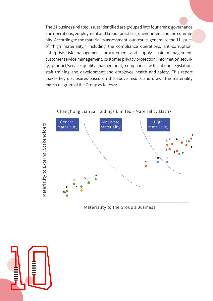The 21 business-related issues identified are grouped into four areas: governance and operations, employment and labour practices, environment and the community. According to the materiality assessment, our results generalize the 11 issues of "high materiality," including the compliance operations, anti-corruption, enterprise risk management, procurement and supply chain management, customer service management, customer privacy protection, information security, product/service quality management, compliance with labour legislation, staff training and development and employee health and safety. This report makes key disclosures based on the above results and draws the materiality matrix diagram of the Group as follows:



#### Changhong Jiahua Holdings Limited - Materiality Matrix

Materiality to the Group's Business

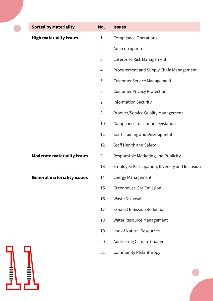| <b>Sorted by Materiality</b>       | No.            | <b>Issues</b>                                   |
|------------------------------------|----------------|-------------------------------------------------|
| <b>High materiality issues</b>     | 1              | <b>Compliance Operations</b>                    |
|                                    | $\overline{2}$ | Anti-corruption                                 |
|                                    | 3              | Enterprise Risk Management                      |
|                                    | 4              | Procurement and Supply Chain Management         |
|                                    | 5              | <b>Customer Service Management</b>              |
|                                    | 6              | <b>Customer Privacy Protection</b>              |
|                                    | $\overline{1}$ | <b>Information Security</b>                     |
|                                    | 8              | Product/Service Quality Management              |
|                                    | 10             | Compliance to Labour Legislation                |
|                                    | 11             | <b>Staff Training and Development</b>           |
|                                    | 12             | <b>Staff Health and Safety</b>                  |
| <b>Moderate materiality issues</b> | 9              | Responsible Marketing and Publicity             |
|                                    | 13             | Employee Participation, Diversity and Inclusion |
| <b>General materiality issues</b>  | 14             | <b>Energy Management</b>                        |
|                                    | 15             | <b>Greenhouse Gas Emission</b>                  |
|                                    | 16             | <b>Waste Disposal</b>                           |
|                                    | 17             | <b>Exhaust Emission Reduction</b>               |
|                                    | 18             | Water Resource Management                       |
|                                    | 19             | Use of Natural Resources                        |
|                                    | 20             | <b>Addressing Climate Change</b>                |
|                                    | 21             | <b>Community Philanthropy</b>                   |
|                                    |                |                                                 |

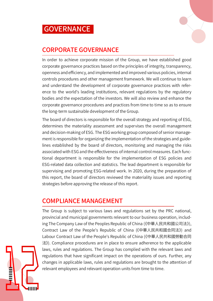

# CORPORATE GOVERNANCE

In order to achieve corporate mission of the Group, we have established good corporate governance practices based on the principles of integrity, transparency, openness and efficiency, and implemented and improved various policies, internal controls procedures and other management framework. We will continue to learn and understand the development of corporate governance practices with reference to the world's leading institutions, relevant regulations by the regulatory bodies and the expectation of the investors. We will also review and enhance the corporate governance procedures and practices from time to time so as to ensure the long-term sustainable development of the Group.

The board of directors is responsible for the overall strategy and reporting of ESG, determines the materiality assessment and supervises the overall management and decision-making of ESG. The ESG working group composed of senior management is responsible for organizing the implementation of the strategies and guidelines established by the board of directors, monitoring and managing the risks associated with ESG and the effectiveness of internal control measures. Each functional department is responsible for the implementation of ESG policies and ESG-related data collection and statistics. The lead department is responsible for supervising and promoting ESG-related work. In 2020, during the preparation of this report, the board of directors reviewed the materiality issues and reporting strategies before approving the release of this report.

### COMPLIANCE MANAGEMENT

The Group is subject to various laws and regulations set by the PRC national, provincial and municipal governments relevant to our business operation, including The Company Law of the Peoples Republic of China (《中華人民共和國公司法》), Contract Law of the People's Republic of China (《中華人民共和國合同法》) and Labour Contract Law of the People's Republic of China (《中華人民共和國勞動合同 法》). Compliance procedures are in place to ensure adherence to the applicable laws, rules and regulations. The Group has complied with the relevant laws and regulations that have significant impact on the operations of ours. Further, any changes in applicable laws, rules and regulations are brought to the attention of relevant employees and relevant operation units from time to time.

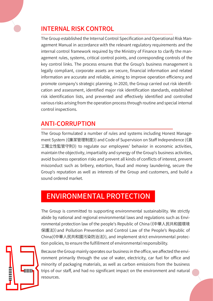

The Group established the Internal Control Specification and Operational Risk Management Manual in accordance with the relevant regulatory requirements and the internal control framework required by the Ministry of Finance to clarify the management rules, systems, critical control points, and corresponding controls of the key control links. The process ensures that the Group's business management is legally compliant, corporate assets are secure, financial information and related information are accurate and reliable, aiming to improve operation efficiency and promote company's strategic planning. In 2020, the Group carried out risk identification and assessment, identified major risk identification standards, established risk identification lists, and prevented and effectively identified and controlled various risks arising from the operation process through routine and special internal control inspections.

# ANTI-CORRUPTION

The Group formulated a number of rules and systems including Honest Management System (《廉潔管理制度》) and Code of Supervision on Staff Independence (《員 工獨立性監管守則》) to regulate our employees' behavior in economic activities, maintain the objectivity, impartiality and synergy of the Group's business activities, avoid business operation risks and prevent all kinds of conflicts of interest, prevent misconduct such as bribery, extortion, fraud and money laundering, secure the Group's reputation as well as interests of the Group and customers, and build a sound ordered market.

# ENVIRONMENTAL PROTECTION

The Group is committed to supporting environmental sustainability. We strictly abide by national and regional environmental laws and regulations such as Environmental protection law of the people's Republic of China(《中華人民共和國環境 保護法》)and Pollution Prevention and Control Law of the People's Republic of China(《中華人民共和國污染防治法》), and implement strict environmental protection policies, to ensure the fulfillment of environmental responsibility.



Because the Group mainly operates our business in the office, we affected the environment primarily through the use of water, electricity, car fuel for office and minority of packaging materials, as well as carbon emissions from the business trips of our staff, and had no significant impact on the environment and natural resources.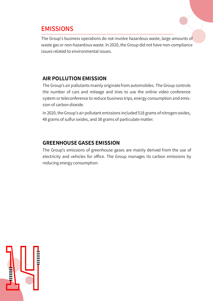### **EMISSIONS**

The Group's business operations do not involve hazardous waste, large amounts of waste gas or non-hazardous waste. In 2020, the Group did not have non-compliance issues related to environmental issues.

#### **AIR POLLUTION EMISSION**

The Group's air pollutants mainly originate from automobiles. The Group controls the number of cars and mileage and tries to use the online video conference system or teleconference to reduce business trips, energy consumption and emission of carbon dioxide.

In 2020, the Group's air pollutant emissions included 518 grams of nitrogen oxides, 48 grams of sulfur oxides, and 38 grams of particulate matter.

#### **GREENHOUSE GASES EMISSION**

The Group's emissions of greenhouse gases are mainly derived from the use of electricity and vehicles for office. The Group manages its carbon emissions by reducing energy consumption.

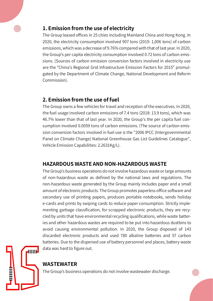

The Group leased offices in 25 cities including Mainland China and Hong Kong. In 2020, the electricity consumption involved 907 tons (2019: 1,006 tons) of carbon emissions, which was a decrease of 9.76% compared with that of last year. In 2020, the Group's per capita electricity consumption involved 0.72 tons of carbon emissions. (Sources of carbon emission conversion factors involved in electricity use are the "China's Regional Grid Infrastructure Emission Factors for 2015" promulgated by the Department of Climate Change, National Development and Reform Commission).

#### **2. Emission from the use of fuel**

The Group owns a few vehicles for travel and reception of the executives. In 2020, the fuel usage involved carbon emissions of 7.4 tons (2018: 13.9 tons), which was 46.7% lower than that of last year. In 2020, the Group's the per capita fuel consumption involved 0.0059 tons of carbon emissions. (The source of carbon emission conversion factors involved in fuel use is the "2006 IPCC (Intergovernmental Panel on Climate Change) National Greenhouse Gas List Guidelines Catalogue", Vehicle Emission Capabilities: 2.2631Kg/L).

#### **HAZARDOUS WASTE AND NON-HAZARDOUS WASTE**

The Group's business operations do not involve hazardous waste or large amounts of non-hazardous waste as defined by the national laws and regulations. The non-hazardous waste generated by the Group mainly includes paper and a small amount of electronic products. The Group promotes paperless office software and secondary use of printing papers, produces portable notebooks, sends holiday e-cards and prints by swiping cards to reduce paper consumption. Strictly implementing garbage classification, for scrapped electronic products, they are recycled by units that have environmental recycling qualifications, while waste batteries and other hazardous wastes are required to be put into hazardous dustbins to avoid causing environmental pollution. In 2020, the Group disposed of 143 discarded electronic products and used 780 alkaline batteries and 57 carbon batteries. Due to the dispersed use of battery personnel and places, battery waste data was hard to figure out.



#### **WASTEWATER**

The Group's business operations do not involve wastewater discharge.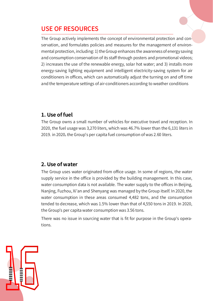# USE OF RESOURCES

The Group actively implements the concept of environmental protection and conservation, and formulates policies and measures for the management of environmental protection, including: 1) the Group enhances the awareness of energy saving and consumption conservation of its staff through posters and promotional videos; 2) increases the use of the renewable energy, solar hot water; and 3) installs more energy-saving lighting equipment and intelligent electricity-saving system for air conditioners in offices, which can automatically adjust the turning on and off time and the temperature settings of air-conditioners according to weather conditions

#### **1. Use of fuel**

The Group owns a small number of vehicles for executive travel and reception. In 2020, the fuel usage was 3,270 liters, which was 46.7% lower than the 6,131 liters in 2019. in 2020, the Group's per capita fuel consumption of was 2.60 liters.

#### **2. Use of water**

The Group uses water originated from office usage. In some of regions, the water supply service in the office is provided by the building management. In this case, water consumption data is not available. The water supply to the offices in Beijing, Nanjing, Fuzhou, Xi'an and Shenyang was managed by the Group itself. In 2020, the water consumption in these areas consumed 4,482 tons, and the consumption tended to decrease, which was 1.5% lower than that of 4,550 tons in 2019. In 2020, the Group's per capita water consumption was 3.56 tons.

There was no issue in sourcing water that is fit for purpose in the Group's operations.

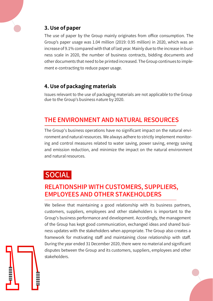#### **3. Use of paper**

The use of paper by the Group mainly originates from office consumption. The Group's paper usage was 1.04 million (2019: 0.95 million) in 2020, which was an increase of 9.1% compared with that of last year. Mainly due to the increase in business scale in 2020, the number of business contracts, bidding documents and other documents that need to be printed increased. The Group continues to implement e-contracting to reduce paper usage.

#### **4. Use of packaging materials**

Issues relevant to the use of packaging materials are not applicable to the Group due to the Group's business nature by 2020.

# THE ENVIRONMENT AND NATURAL RESOURCES

The Group's business operations have no significant impact on the natural environment and natural resources. We always adhere to strictly implement monitoring and control measures related to water saving, power saving, energy saving and emission reduction, and minimize the impact on the natural environment and natural resources.

# **SOCIAL**

# RELATIONSHIP WITH CUSTOMERS, SUPPLIERS, EMPLOYEES AND OTHER STAKEHOLDERS

We believe that maintaining a good relationship with its business partners, customers, suppliers, employees and other stakeholders is important to the Group's business performance and development. Accordingly, the management of the Group has kept good communication, exchanged ideas and shared business updates with the stakeholders when appropriate. The Group also creates a framework for motivating staff and maintaining close relationship with staff. During the year ended 31 December 2020, there were no material and significant disputes between the Group and its customers, suppliers, employees and other stakeholders.

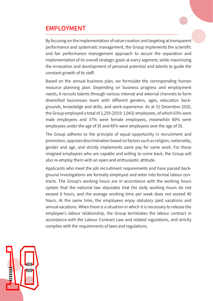### EMPLOYMENT

By focusing on the implementation of value creation and targeting at transparent performance and systematic management, the Group implements the scientific and fair performance management approach to secure the separation and implementation of its overall strategic goals at every segment, while maximizing the innovation and development of personal potential and talents to guide the constant growth of its staff.

Based on the annual business plan, we formulate the corresponding human resource planning plan. Depending on business progress and employment needs, it recruits talents through various internal and external channels to form diversified businesses team with different genders, ages, education backgrounds, knowledge and skills, and work experience. As at 31 December 2020, the Group employed a total of 1,259 (2019: 1,043) employees, of which 63% were male employees and 37% were female employees, meanwhile 60% were employees under the age of 35 and 40% were employees over the age of 35.

The Group adheres to the principle of equal opportunity in recruitment and promotion, opposes discrimination based on factors such as religion, nationality, gender and age, and strictly implements same pay for same work. For those resigned employees who are capable and willing to come back, the Group will also re-employ them with an open and enthusiastic attitude.

Applicants who meet the job recruitment requirements and have passed background investigations are formally employed and enter into formal labour contracts. The Group's working hours are in accordance with the working hours system that the national law stipulates that the daily working hours do not exceed 8 hours, and the average working time per week does not exceed 40 hours. At the same time, the employees enjoy statutory paid vacations and annual vacations. When there is a situation in which it is necessary to release the employee's labour relationship, the Group terminates the labour contract in accordance with the Labour Contract Law and related regulations, and strictly complies with the requirements of laws and regulations.

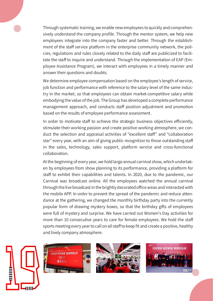Through systematic training, we enable new employees to quickly and comprehensively understand the company profile. Through the mentor system, we help new employees integrate into the company faster and better. Through the establishment of the staff service platform in the enterprise community network, the policies, regulations and rules closely related to the daily staff are publicized to facilitate the staff to inquire and understand. Through the implementation of EAP (Employee Assistance Program), we interact with employees in a timely manner and answer their questions and doubts.

We determine employee compensation based on the employee's length of service, job function and performance with reference to the salary level of the same industry in the market, so that employees can obtain market-competitive salary while embodying the value of the job. The Group has developed a complete performance management approach, and conducts staff position adjustment and promotion based on the results of employee performance assessment.

In order to motivate staff to achieve the strategic business objectives efficiently, stimulate their working passion and create positive working atmosphere, we conduct the selection and appraisal activities of "excellent staff" and "collaboration star" every year, with an aim of giving public recognition to those outstanding staff in the sales, technology, sales support, platform service and cross-functional collaboration.

At the beginning of every year, we hold large annual carnival show, which undertaken by employees from show planning to its performance, providing a platform for staff to exhibit their capabilities and talents. In 2020, due to the pandemic, our Carnival was broadcast online. All the employees watched the annual carnival through the live broadcast in the brightly decorated office areas and interacted with the mobile APP. In order to prevent the spread of the pandemic and reduce attendance at the gathering, we changed the monthly birthday party into the currently popular form of drawing mystery boxes, so that the birthday gifts of employees were full of mystery and surprise. We have carried out Women's Day activities for more than 10 consecutive years to care for female employees. We hold the staff sports meeting every year to call on all staff to keep fit and create a positive, healthy and lively company atmosphere.







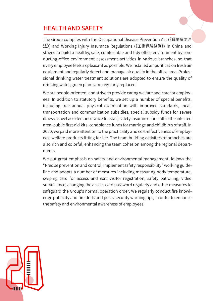# HEALTH AND SAFETY

The Group complies with the Occupational Disease Prevention Act (《職業病防治 法》) and Working Injury Insurance Regulations (《工傷保險條例》) in China and strives to build a healthy, safe, comfortable and tidy office environment by conducting office environment assessment activities in various branches, so that every employee feels as pleasant as possible. We installed air purification fresh air equipment and regularly detect and manage air quality in the office area. Professional drinking water treatment solutions are adopted to ensure the quality of drinking water, green plants are regularly replaced.

We are people-oriented, and strive to provide caring welfare and care for employees. In addition to statutory benefits, we set up a number of special benefits, including free annual physical examination with improved standards, meal, transportation and communication subsidies, special subsidy funds for severe illness, travel accident insurance for staff, safety insurance for staff in the infected area, public first-aid kits, condolence funds for marriage and childbirth of staff. In 2020, we paid more attention to the practicality and cost-effectiveness of employees' welfare products fitting for life. The team building activities of branches are also rich and colorful, enhancing the team cohesion among the regional departments.

We put great emphasis on safety and environmental management, follows the "Precise prevention and control, Implement safety responsibility" working guideline and adopts a number of measures including measuring body temperature, swiping card for access and exit, visitor registration, safety patrolling, video surveillance, changing the access card password regularly and other measures to safeguard the Group's normal operation order. We regularly conduct fire knowledge publicity and fire drills and posts security warning tips, in order to enhance the safety and environmental awareness of employees.

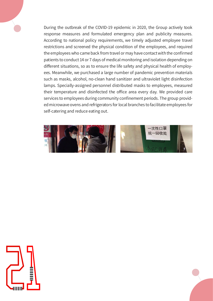During the outbreak of the COVID-19 epidemic in 2020, the Group actively took response measures and formulated emergency plan and publicity measures. According to national policy requirements, we timely adjusted employee travel restrictions and screened the physical condition of the employees, and required the employees who came back from travel or may have contact with the confirmed patients to conduct 14 or 7 days of medical monitoring and isolation depending on different situations, so as to ensure the life safety and physical health of employees. Meanwhile, we purchased a large number of pandemic prevention materials such as masks, alcohol, no-clean hand sanitizer and ultraviolet light disinfection lamps. Specially-assigned personnel distributed masks to employees, measured their temperature and disinfected the office area every day. We provided care services to employees during community confinement periods. The group provided microwave ovens and refrigerators for local branches to facilitate employees for self-catering and reduce eating out.



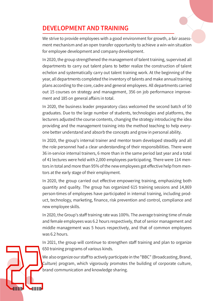# DEVELOPMENT AND TRAINING

We strive to provide employees with a good environment for growth, a fair assessment mechanism and an open transfer opportunity to achieve a win-win situation for employee development and company development.

In 2020, the group strengthened the management of talent training, supervised all departments to carry out talent plans to better realize the construction of talent echelon and systematically carry out talent training work. At the beginning of the year, all departments completed the inventory of talents and make annual training plans according to the core, cadre and general employees. All departments carried out 15 courses on strategy and management, 356 on job performance improvement and 185 on general affairs in total.

In 2020, the business leader preparatory class welcomed the second batch of 50 graduates. Due to the large number of students, technologies and platforms, the lecturers adjusted the course contents, changing the strategy introducing the idea providing and the management training into the method teaching to help everyone better understand and absorb the concepts and grow in personal ability.

In 2020, the group's internal trainer and mentor team developed steadily and all the role personnel had a clear understanding of their responsibilities. There were 36 in-service internal trainers, 6 more than in the same period last year and a total of 41 lectures were held with 2,000 employees participating. There were 114 mentors in total and more than 95% of the new employees got effective help from mentors at the early stage of their employment.

In 2020, the group carried out effective empowering training, emphasizing both quantity and quality. The group has organized 615 training sessions and 14,869 person-times of employees have participated in internal training, including product, technology, marketing, finance, risk prevention and control, compliance and new employee skills.

In 2020, the Group's staff training rate was 100%. The average training time of male and female employees was 6.2 hours respectively, that of senior management and middle management was 5 hours respectively, and that of common employees was 6.2 hours.

In 2021, the group will continue to strengthen staff training and plan to organize 650 training programs of various kinds.

We also organize our staff to actively participate in the "BBC" (Broadcasting, Brand, Culture) program, which vigorously promotes the building of corporate culture, brand communication and knowledge sharing.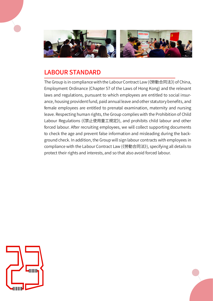

# LABOUR STANDARD

The Group is in compliance with the Labour Contract Law (《勞動合同法》) of China, Employment Ordinance (Chapter 57 of the Laws of Hong Kong) and the relevant laws and regulations, pursuant to which employees are entitled to social insurance, housing provident fund, paid annual leave and other statutory benefits, and female employees are entitled to prenatal examination, maternity and nursing leave. Respecting human rights, the Group complies with the Prohibition of Child Labour Regulations (《禁止使用童工規定》), and prohibits child labour and other forced labour. After recruiting employees, we will collect supporting documents to check the age and prevent false information and misleading during the background check. In addition, the Group will sign labour contracts with employees in compliance with the Labour Contract Law (《勞動合同法》), specifying all details to protect their rights and interests, and so that also avoid forced labour.

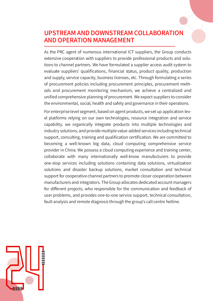# UPSTREAM AND DOWNSTREAM COLLABORATION AND OPERATION MANAGEMENT

As the PRC agent of numerous international ICT suppliers, the Group conducts extensive cooperation with suppliers to provide professional products and solutions to channel partners. We have formulated a supplier access audit system to evaluate suppliers' qualifications, financial status, product quality, production and supply, service capacity, business licenses, etc. Through formulating a series of procurement policies including procurement principles, procurement methods and procurement monitoring mechanism, we achieve a centralized and unified comprehensive planning of procurement. We expect suppliers to consider the environmental, social, health and safety and governance in their operations.

For enterprise level segment, based on agent products, we set up application-level platforms relying on our own technologies, resource integration and service capability. we organically integrate products into multiple technologies and industry solutions, and provide multiple value-added services including technical support, consulting, training and qualification certification. We are committed to becoming a well-known big data, cloud computing comprehensive service provider in China. We possess a cloud computing experience and training center, collaborate with many internationally well-know manufacturers to provide one-stop services including solutions containing data solutions, virtualization solutions and disaster backup solutions, market consultation and technical support for cooperative channel partners to promote closer cooperation between manufacturers and integrators. The Group allocates dedicated account managers for different projects, who responsible for the communication and feedback of user problems, and provides one-to-one service support, technical consultation, fault analysis and remote diagnosis through the group's call centre hotline.

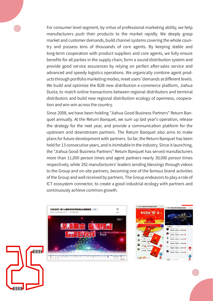For consumer level segment, by virtue of professional marketing ability, we help manufacturers push their products to the market rapidly. We deeply grasp market and customer demands, build channel systems covering the whole country and possess tens of thousands of core agents. By keeping stable and long-term cooperation with product suppliers and core agents, we fully ensure benefits for all parties in the supply chain, form a sound distribution system and provide good service assurances by relying on perfect after-sales service and advanced and speedy logistics operations. We organically combine agent products through portfolio marketing modes, meet users' demands at different levels. We build and optimize the B2B new distribution e-commerce platform, Jiahua Duola, to match online transactions between regional distributors and terminal distributors and build new regional distribution ecology of openness, cooperation and win-win across the country.

Since 2008, we have been holding "Jiahua Good Business Partners" Return Banquet annually. At the Return Banquet, we sum up last year's operation, release the strategy for the next year, and provide a communication platform for the upstream and downstream partners. The Return Banquet also aims to make plans for future development with partners. So far, the Return Banquet has been held for 13 consecutive years, and is inimitable In the industry. Since it launching, the "Jiahua Good Business Partners" Return Banquet has served manufacturers more than 11,000 person times and agent partners nearly 30,000 person times respectively, while 292 manufacturers' leaders sending blessings through videos to the Group and on-site partners, becoming one of the famous brand activities of the Group and well received by partners. The Group endeavors to play a role of ICT ecosystem connector, to create a good industrial ecology with partners and continuously achieve common growth.





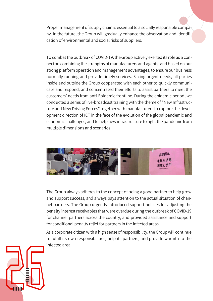Proper management of supply chain is essential to a socially responsible company. In the future, the Group will gradually enhance the observation and identification of environmental and social risks of suppliers.

To combat the outbreak of COVID-19, the Group actively exerted its role as a connector, combining the strengths of manufacturers and agents, and based on our strong platform operation and management advantages, to ensure our business normally running and provide timely services. Facing urgent needs, all parties inside and outside the Group cooperated with each other to quickly communicate and respond, and concentrated their efforts to assist partners to meet the customers' needs from anti-Epidemic frontline. During the epidemic period, we conducted a series of live-broadcast training with the theme of "New Infrastructure and New Driving Forces" together with manufacturers to explore the development direction of ICT in the face of the evolution of the global pandemic and economic challenges, and to help new infrastructure to fight the pandemic from multiple dimensions and scenarios.



The Group always adheres to the concept of being a good partner to help grow and support success, and always pays attention to the actual situation of channel partners. The Group urgently introduced support policies for adjusting the penalty interest receivables that were overdue during the outbreak of COVID-19 for channel partners across the country, and provided assistance and support for conditional penalty relief for partners in the infected areas.

As a corporate citizen with a high sense of responsibility, the Group will continue to fulfill its own responsibilities, help its partners, and provide warmth to the infected area.

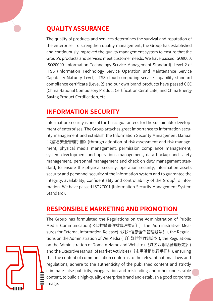# **QUALITY ASSURANCE**

The quality of products and services determines the survival and reputation of the enterprise. To strengthen quality management, the Group has established and continuously improved the quality management system to ensure that the Group's products and services meet customer needs. We have passed ISO9000, ISO20000 (Information Technology Service Management Standard), Level 2 of ITSS (Information Technology Service Operation and Maintenance Service Capability Maturity Level), ITSS cloud computing service capability standard compliance certificate (Level 2) and our own brand products have passed CCC (China National Compulsory Product Certification Certificate) and China Energy Saving Product Certification, etc.

# **INFORMATION SECURITY**

Information security is one of the basic guarantees for the sustainable development of enterprises. The Group attaches great importance to information security management and establish the Information Security Management Manual (《信息安全管理手冊》)through adoption of risk assessment and risk management, physical media management, permission compliance management, system development and operations management, data backup and safety management, personnel management and check on duty management standard, to ensure the physical security, operation security, information assets security and personnel security of the information system and to guarantee the integrity, availability, confidentiality and controllability of the Group's information. We have passed ISO27001 (Information Security Management System Standard).

# **RESPONSIBLE MARKETING AND PROMOTION**

The Group has formulated the Regulations on the Administration of Public Media Communication(《公共媒體傳播管理規定》), the Administrative Measures for External Information Release(《對外信息發佈管理辦法》), the Regulations on the Administration of We Media (《自媒體管理規定》), the Regulations on the Administration of Domain Name and Website (《域名及網站管理規定》) and the Executive Manual of Market Activities (《市場活動執行手冊》), ensuring that the content of communication conforms to the relevant national laws and regulations, adhere to the authenticity of the published content and strictly eliminate false publicity, exaggeration and misleading and other undesirable content, to build a high-quality enterprise brand and establish a good corporate image.

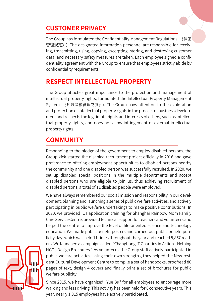# **CUSTOMER PRIVACY**

The Group has formulated the Confidentiality Management Regulations (《保密 管理規定》). The designated information personnel are responsible for receiving, transmitting, using, copying, excerpting, storing, and destroying customer data, and necessary safety measures are taken. Each employee signed a confidentiality agreement with the Group to ensure that employees strictly abide by confidentiality requirements.

# **RESPECT INTELLECTUAL PROPERTY**

The Group attaches great importance to the protection and management of intellectual property rights, formulated the Intellectual Property Management System (《知識產權管理制度》). The Group pays attention to the exploration and protection of intellectual property rights in the process of business development and respects the legitimate rights and interests of others, such as intellectual property rights, and does not allow infringement of external intellectual property rights.

# **COMMUNITY**

Responding to the pledge of the government to employ disabled persons, the Group kick-started the disabled recruitment project officially in 2016 and gave preference to offering employment opportunities to disabled persons nearby the community and one disabled person was successfully recruited. In 2020, we set up disabled special positions in the multiple departments and accept disabled persons who are eligible to join us, thus achieving recruitment of disabled persons, a total of 11 disabled people were employed.

We have always remembered our social mission and responsibility in our development, planning and launching a series of public welfare activities, and actively participating in public welfare undertakings to make positive contributions, In 2020, we provided ICT application training for Shanghai Rainbow Mom Family Care Service Centre, provided technical support for teachers and volunteers and helped the centre to improve the level of life-oriented science and technology education. We made public benefit posters and carried out public benefit publicity day, which was held 11 times throughout the year and reached 5,867 readers. We launched a campaign called "Changhong IT Charities in Action - Helping NGOs Design Brochures." As volunteers, the Group staff actively participated in public welfare activities. Using their own strengths, they helped the New-resident Cultural Development Centre to compile a set of handbooks, proofread 80 pages of text, design 4 covers and finally print a set of brochures for public welfare publicity.

Since 2015, we have organized "Yue Bu" for all employees to encourage more walking and less driving. This activity has been held for 6 consecutive years. This year, nearly 1,015 employees have actively participated.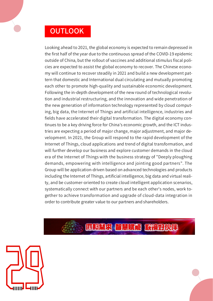# **OUTLOOK**

Looking ahead to 2021, the global economy is expected to remain depressed in the first half of the year due to the continuous spread of the COVID-19 epidemic outside of China, but the rollout of vaccines and additional stimulus fiscal policies are expected to assist the global economy to recover. The Chinese economy will continue to recover steadily in 2021 and build a new development pattern that domestic and International dual circulating and mutually promoting each other to promote high-quality and sustainable economic development. Following the in-depth development of the new round of technological revolution and industrial restructuring, and the innovation and wide penetration of the new generation of information technology represented by cloud computing, big data, the Internet of Things and artificial intelligence, industries and fields have accelerated their digital transformation. The digital economy continues to be a key driving force for China's economic growth, and the ICT industries are expecting a period of major change, major adjustment, and major development. In 2021, the Group will respond to the rapid development of the Internet of Things, cloud applications and trend of digital transformation, and will further develop our business and explore customer demands in the cloud era of the Internet of Things with the business strategy of "Deeply ploughing demands, empowering with intelligence and jointing good partners". The Group will be application-driven based on advanced technologies and products including the Internet of Things, artificial intelligence, big data and virtual reality, and be customer-oriented to create cloud intelligent application scenarios, systematically connect with our partners and be each other's nodes, work together to achieve transformation and upgrade of cloud-data integration in order to contribute greater value to our partners and shareholders.



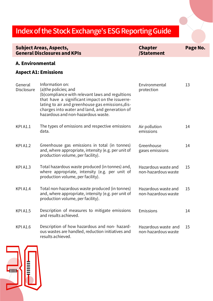# Index of the Stock Exchange's ESG Reporting Guide

|                              | <b>Subject Areas, Aspects,</b><br><b>General Disclosures and KPIs</b>                                                                                                                                                                                                                     | <b>Chapter</b><br>/Statement               | Page No. |
|------------------------------|-------------------------------------------------------------------------------------------------------------------------------------------------------------------------------------------------------------------------------------------------------------------------------------------|--------------------------------------------|----------|
| A. Environmental             |                                                                                                                                                                                                                                                                                           |                                            |          |
|                              | <b>Aspect A1: Emissions</b>                                                                                                                                                                                                                                                               |                                            |          |
| General<br><b>Disclosure</b> | Information on:<br>(a)the policies; and<br>(b)compliance with relevant laws and regultions<br>that have a significant impact on the issuerre-<br>lating to air and greenhouse gas emissions, dis-<br>charges into water and land, and generation of<br>hazardous and non-hazardous waste. | Environmental<br>protection                | 13       |
| <b>KPI A1.1</b>              | The types of emissions and respective emissions<br>data.                                                                                                                                                                                                                                  | Air pollution<br>emissions                 | 14       |
| <b>KPI A1.2</b>              | Greenhouse gas emissions in total (in tonnes)<br>and, where appropriate, intensity (e.g. per unit of<br>production volume, per facility).                                                                                                                                                 | Greenhouse<br>gases emissions              | 14       |
| <b>KPI A1.3</b>              | Total hazardous waste produced (in tonnes) and,<br>where appropriate, intensity (e.g. per unit of<br>production volume, per facility).                                                                                                                                                    | Hazardous waste and<br>non-hazardous waste | 15       |
| <b>KPI A1.4</b>              | Total non-hazardous waste produced (in tonnes)<br>and, where appropriate, intensity (e.g. per unit of<br>production volume, per facility).                                                                                                                                                | Hazardous waste and<br>non-hazardous waste | 15       |
| <b>KPI A1.5</b>              | Description of measures to mitigate emissions<br>and results achieved.                                                                                                                                                                                                                    | Emissions                                  | 14       |
| <b>KPI A1.6</b>              | Description of how hazardous and non- hazard-<br>ous wastes are handled, reduction initiatives and<br>results achieved.                                                                                                                                                                   | Hazardous waste and<br>non-hazardous waste | 15       |

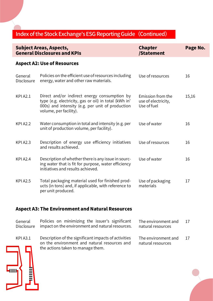|                              | <b>Subject Areas, Aspects,</b><br><b>General Disclosures and KPIs</b>                                                                                                               | <b>Chapter</b><br>/Statement                            | Page No. |
|------------------------------|-------------------------------------------------------------------------------------------------------------------------------------------------------------------------------------|---------------------------------------------------------|----------|
|                              | <b>Aspect A2: Use of Resources</b>                                                                                                                                                  |                                                         |          |
| General<br><b>Disclosure</b> | Policies on the efficient use of resources including<br>energy, water and other raw materials.                                                                                      | Use of resources                                        | 16       |
| <b>KPI A2.1</b>              | Direct and/or indirect energy consumption by<br>type (e.g. electricity, gas or oil) in total (kWh in'<br>000s) and intensity (e.g. per unit of production<br>volume, per facility). | Emission from the<br>use of electricity,<br>Use of fuel | 15,16    |
| <b>KPI A2.2</b>              | Water consumption in total and intensity (e.g. per<br>unit of production volume, per facility).                                                                                     | Use of water                                            | 16       |
| <b>KPI A2.3</b>              | Description of energy use efficiency initiatives<br>and results achieved.                                                                                                           | Use of resources                                        | 16       |
| <b>KPI A2.4</b>              | Description of whether there is any issue in sourc-<br>ing water that is fit for purpose, water efficiency<br>initiatives and results achieved.                                     | Use of water                                            | 16       |
| <b>KPI A2.5</b>              | Total packaging material used for finished prod-<br>ucts (in tons) and, if applicable, with reference to<br>per unit produced.                                                      | Use of packaging<br>materials                           | 17       |
|                              | <b>Aspect A3: The Environment and Natural Resources</b>                                                                                                                             |                                                         |          |

General Disclosure The environment and natural resources Policies on minimizing the issuer's significant The environment and 17 impact on the environment and natural resources. KPI A3.1  $\quad$  Description of the significant impacts of activities  $\quad$  The environment and  $\quad$  17 natural resources on the environment and natural resources and the actions taken to manage them.

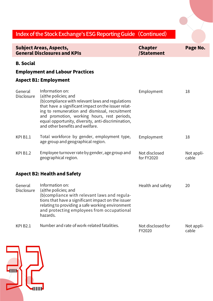|                              | <b>Subject Areas, Aspects,</b><br><b>General Disclosures and KPIs</b>                                                                                                                                                                                                                                                                          | <b>Chapter</b><br>/Statement | Page No.            |
|------------------------------|------------------------------------------------------------------------------------------------------------------------------------------------------------------------------------------------------------------------------------------------------------------------------------------------------------------------------------------------|------------------------------|---------------------|
| <b>B.</b> Social             |                                                                                                                                                                                                                                                                                                                                                |                              |                     |
|                              | <b>Employment and Labour Practices</b>                                                                                                                                                                                                                                                                                                         |                              |                     |
|                              | <b>Aspect B1: Employment</b>                                                                                                                                                                                                                                                                                                                   |                              |                     |
| General<br><b>Disclosure</b> | Information on:<br>(a) the policies; and<br>(b) compliance with relevant laws and regulations<br>that have a significant impact on the issuer relat-<br>ing to remuneration and dismissal, recruitment<br>and promotion, working hours, rest periods,<br>equal opportunity, diversity, anti-discrimination,<br>and other benefits and welfare. | Employment                   | 18                  |
| <b>KPI B1.1</b>              | Total workforce by gender, employment type,<br>age group and geographical region.                                                                                                                                                                                                                                                              | Employment                   | 18                  |
| <b>KPI B1.2</b>              | Employee turnover rate by gender, age group and<br>geographical region.                                                                                                                                                                                                                                                                        | Not disclosed<br>for FY2020  | Not appli-<br>cable |
|                              | <b>Aspect B2: Health and Safety</b>                                                                                                                                                                                                                                                                                                            |                              |                     |
| General<br><b>Disclosure</b> | Information on:<br>(a) the policies; and<br>(b) compliance with relevant laws and regula-<br>tions that have a significant impact on the issuer<br>relating to providing a safe working environment<br>and protecting employees from occupational<br>hazards.                                                                                  | Health and safety            | 20                  |
| <b>KPI B2.1</b>              | Number and rate of work-related fatalities.                                                                                                                                                                                                                                                                                                    | Not disclosed for<br>FY2020  | Not appli-<br>cable |

cable

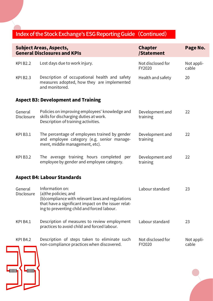|                              | <b>Subject Areas, Aspects,</b><br><b>General Disclosures and KPIs</b>                                                                                                                              | <b>Chapter</b><br>/Statement | Page No.            |
|------------------------------|----------------------------------------------------------------------------------------------------------------------------------------------------------------------------------------------------|------------------------------|---------------------|
| <b>KPI B2.2</b>              | Lost days due to work injury.                                                                                                                                                                      | Not disclosed for<br>FY2020  | Not appli-<br>cable |
| <b>KPI B2.3</b>              | Description of occupational health and safety<br>measures adopted, how they are implemented<br>and monitored.                                                                                      | Health and safety            | 20                  |
|                              | <b>Aspect B3: Development and Training</b>                                                                                                                                                         |                              |                     |
| General<br><b>Disclosure</b> | Policies on improving employees' knowledge and<br>skills for discharging duties at work.<br>Description of training activities.                                                                    | Development and<br>training  | 22                  |
| <b>KPI B3.1</b>              | The percentage of employees trained by gender<br>and employee category (e.g. senior manage-<br>ment, middle management, etc).                                                                      | Development and<br>training  | 22                  |
| <b>KPI B3.2</b>              | The average training hours completed per<br>employee by gender and employee category.                                                                                                              | Development and<br>training  | 22                  |
|                              | <b>Aspect B4: Labour Standards</b>                                                                                                                                                                 |                              |                     |
| General<br><b>Disclosure</b> | Information on:<br>(a) the policies; and<br>(b) compliance with relevant laws and regulations<br>that have a significant impact on the issuer relat-<br>ing to preventing child and forced labour. | Labour standard              | 23                  |
| <b>KPI B4.1</b>              | Description of measures to review employment<br>practices to avoid child and forced labour.                                                                                                        | Labour standard              | 23                  |
| <b>KPI B4.2</b>              | Description of steps taken to eliminate such<br>non-compliance practices when discovered.                                                                                                          | Not disclosed for<br>FY2020  | Not appli-<br>cable |

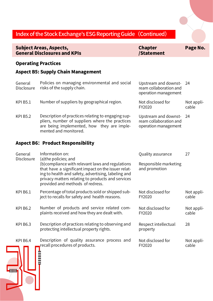#### General Disclosure Upstream and downstream collaboration and operation management Policies on managing environmental and social risks of the supply chain. General Disclosure Quality assurance Information on: 27 Responsible marketing and promotion (a)the policies; and (b)compliance with relevant laws and regulations that have a significant impact on the issuer relating to health and safety, advertising, labeling and privacy matters relating to products and services provided and methods of redress. KPI B5.1 Number of suppliers by geographical region. Not disclosed for FY2020 Not applicable Aspect B6: Product Responsibility KPI B6.1 Percentage of total products sold or shipped sub- Not disclosed for FY2020 Not applicable ject to recalls for safety and health reasons. KPI B6.2 Mumber of products and service related com- Not disclosed for FY2020 Not applicable plaints received and how they are dealt with. KPI B6.3 Description of practices relating to observing and Respect intellectual 28 property protecting intellectual property rights. KPI B6.4 Description of quality assurance process and Not disclosed for Not appli-KPI B5.2 Description of practices relating to engaging sup- Upstream and downst- 24 ream collaboration and operation management pliers, number of suppliers where the practices are being implemented, how they are implemented and monitored. Operating Practices Aspect B5: Supply Chain Management Index of the Stock Exchange's ESG Reporting Guide (Continued) Subject Areas, Aspects, General Disclosures and KPIs Chapter /Statement Page No.

recall procedures of products.

FY2020

cable